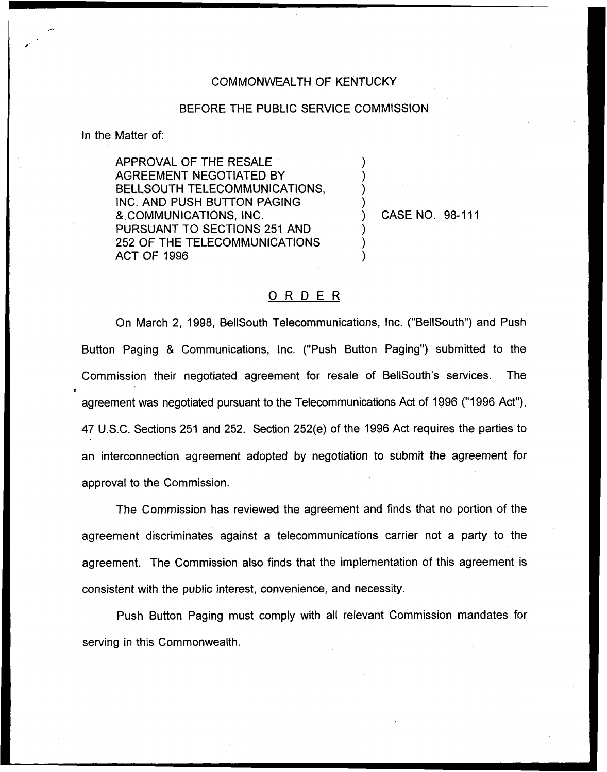## COMMONWEALTH OF KENTUCKY

## BEFORE THE PUBLIC SERVICE COMMISSION

) ) ) )

) ) )

In the Matter of:

APPROVAL OF THE RESALE AGREEMENT NEGOTIATED BY BELLSOUTH TELECOMMUNICATIONS, INC. AND PUSH BUTTON PAGING 8.COMMUNICATIONS, INC. PURSUANT TO SECTIONS 251 AND 252 OF THE TELECOMMUNICATIONS ACT OF 1996

) CASE NO. 98-111

## ORDER

On March 2, 1998, BellSouth Telecommunications, Inc. ("BellSouth") and Push Button Paging & Communications, Inc. ("Push Button Paging") submitted to the Commission their negotiated agreement for resale of BellSouth's services. The agreement was negotiated pursuant to the Telecommunications Act of 1996 ("1996 Act"), 47 U.S.C, Sections 251 and 252. Section 252(e) of the 1996 Act requires the parties to an interconnection agreement adopted by negotiation to submit the agreement for approval to the Commission.

The Commission has reviewed the agreement and finds that no portion of the agreement discriminates against a telecommunications carrier not a party to the agreement. The Commission also finds that the implementation of this agreement is consistent with the public interest, convenience, and necessity.

Push Button Paging must comply with all relevant Commission mandates for serving in this Commonwealth.